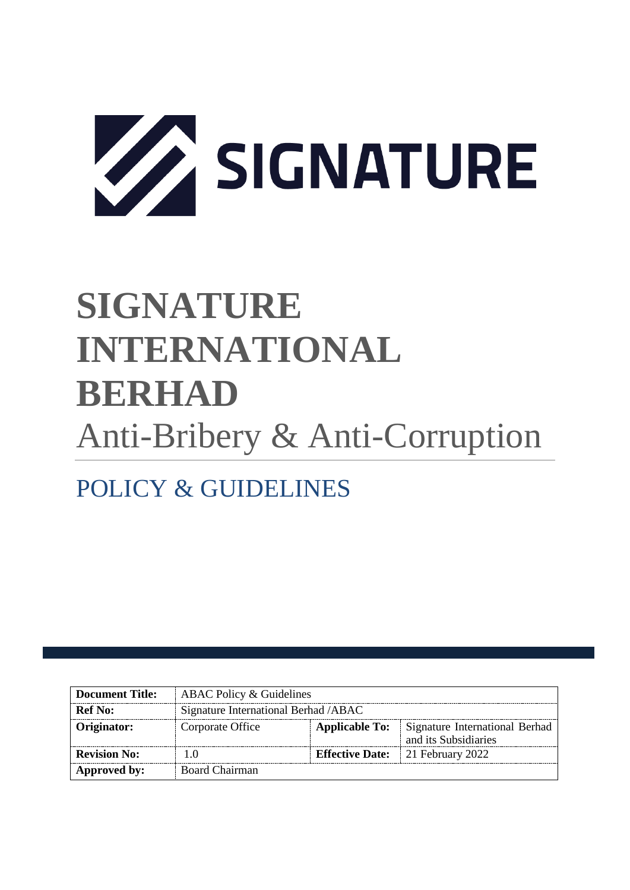

# **SIGNATURE INTERNATIONAL BERHAD** Anti-Bribery & Anti-Corruption

# POLICY & GUIDELINES

| Document Title:     | ABAC Policy & Guidelines              |                       |                                                        |  |
|---------------------|---------------------------------------|-----------------------|--------------------------------------------------------|--|
| <b>Ref No:</b>      | Signature International Berhad / ABAC |                       |                                                        |  |
| Originator:         | Corporate Office                      | <b>Applicable To:</b> | Signature International Berhad<br>and its Subsidiaries |  |
| <b>Revision No:</b> | 1.0                                   |                       | <b>Effective Date:</b> 21 February 2022                |  |
| Approved by:        | Board Chairman                        |                       |                                                        |  |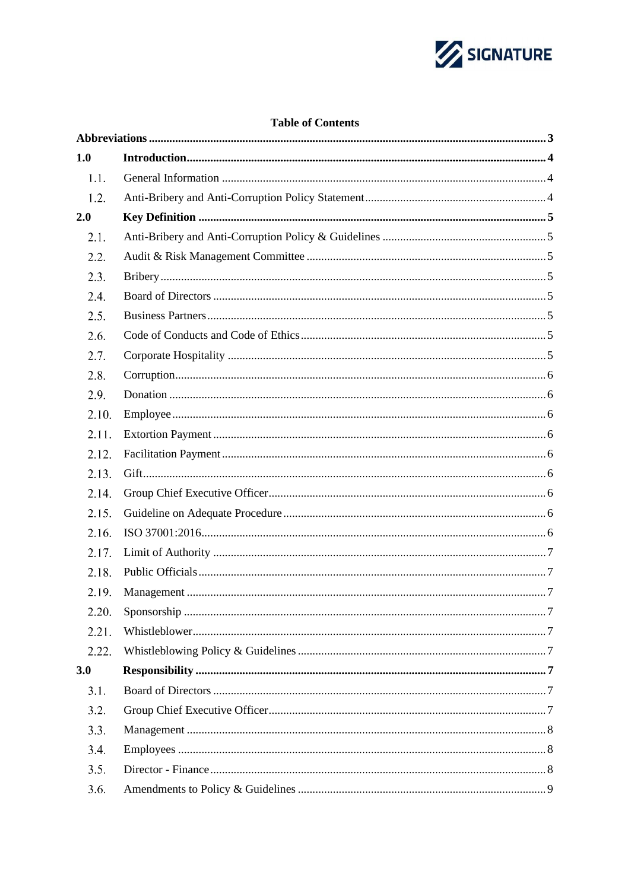

# **Table of Contents**

| 1.0   |  |
|-------|--|
| 1.1.  |  |
| 1.2.  |  |
| 2.0   |  |
| 2.1.  |  |
| 2.2.  |  |
| 2.3.  |  |
| 2.4.  |  |
| 2.5.  |  |
| 2.6.  |  |
| 2.7.  |  |
| 2.8.  |  |
| 2.9.  |  |
| 2.10. |  |
| 2.11. |  |
| 2.12. |  |
| 2.13. |  |
| 2.14. |  |
| 2.15. |  |
| 2.16. |  |
| 2.17. |  |
| 2.18. |  |
| 2.19. |  |
| 2.20. |  |
| 2.21. |  |
| 2.22. |  |
| 3.0   |  |
| 3.1.  |  |
| 3.2.  |  |
| 3.3.  |  |
| 3.4.  |  |
| 3.5.  |  |
| 3.6.  |  |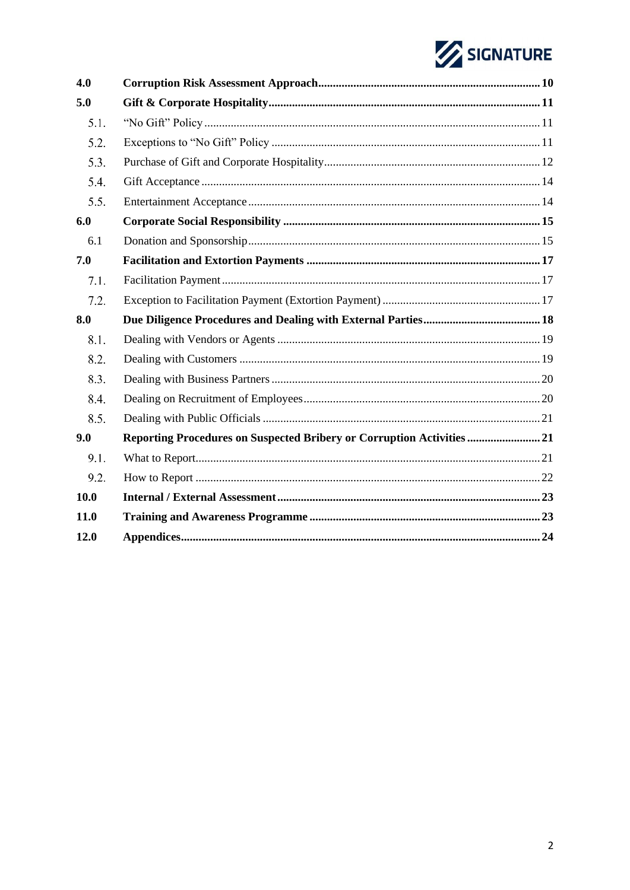# SIGNATURE

| 4.0  |                                                                       |  |
|------|-----------------------------------------------------------------------|--|
| 5.0  |                                                                       |  |
| 5.1. |                                                                       |  |
| 5.2. |                                                                       |  |
| 5.3. |                                                                       |  |
| 5.4. |                                                                       |  |
| 5.5. |                                                                       |  |
| 6.0  |                                                                       |  |
| 6.1  |                                                                       |  |
| 7.0  |                                                                       |  |
| 7.1. |                                                                       |  |
| 7.2. |                                                                       |  |
| 8.0  |                                                                       |  |
| 8.1. |                                                                       |  |
| 8.2. |                                                                       |  |
| 8.3. |                                                                       |  |
| 8.4. |                                                                       |  |
| 8.5. |                                                                       |  |
| 9.0  | Reporting Procedures on Suspected Bribery or Corruption Activities 21 |  |
| 9.1. |                                                                       |  |
| 9.2. |                                                                       |  |
| 10.0 |                                                                       |  |
| 11.0 |                                                                       |  |
| 12.0 |                                                                       |  |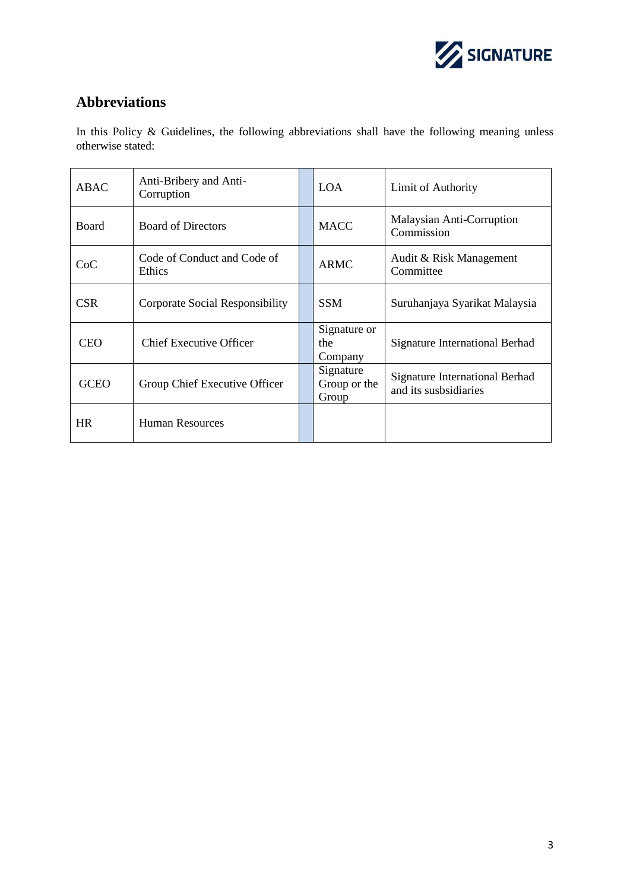

# <span id="page-3-0"></span>**Abbreviations**

In this Policy & Guidelines, the following abbreviations shall have the following meaning unless otherwise stated:

| <b>ABAC</b>  | Anti-Bribery and Anti-<br>Corruption                        |  | <b>LOA</b>                         | Limit of Authority                                             |  |
|--------------|-------------------------------------------------------------|--|------------------------------------|----------------------------------------------------------------|--|
| <b>Board</b> | <b>Board of Directors</b>                                   |  | <b>MACC</b>                        | Malaysian Anti-Corruption<br>Commission                        |  |
| CoC          | Code of Conduct and Code of<br><b>ARMC</b><br><b>Ethics</b> |  |                                    | Audit & Risk Management<br>Committee                           |  |
| <b>CSR</b>   | Corporate Social Responsibility                             |  | <b>SSM</b>                         | Suruhanjaya Syarikat Malaysia                                  |  |
| <b>CEO</b>   | Chief Executive Officer                                     |  | Signature or<br>the<br>Company     | <b>Signature International Berhad</b>                          |  |
| <b>GCEO</b>  | Group Chief Executive Officer                               |  | Signature<br>Group or the<br>Group | <b>Signature International Berhad</b><br>and its susbsidiaries |  |
| <b>HR</b>    | <b>Human Resources</b>                                      |  |                                    |                                                                |  |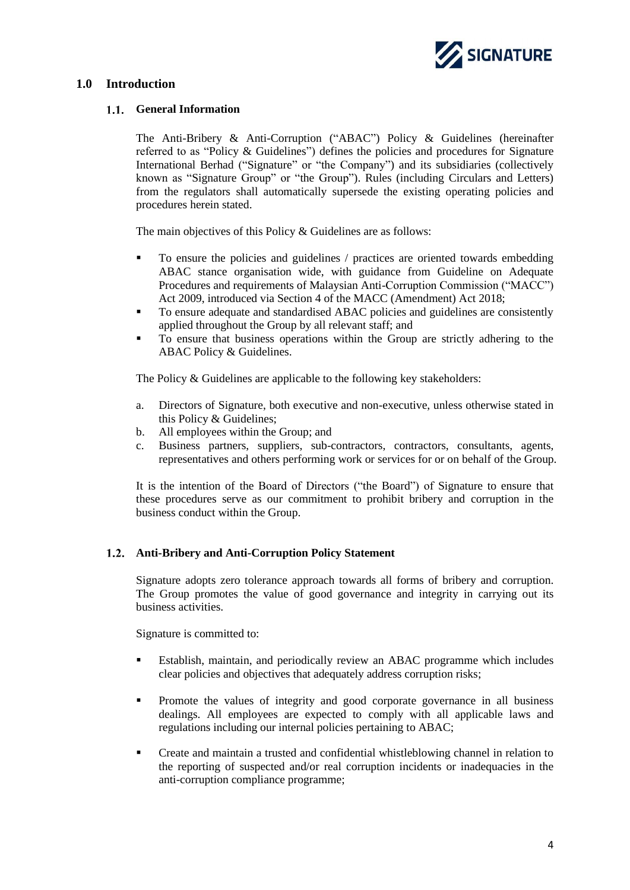

# <span id="page-4-1"></span><span id="page-4-0"></span>**1.0 Introduction**

# **General Information**

The Anti-Bribery & Anti-Corruption ("ABAC") Policy & Guidelines (hereinafter referred to as "Policy & Guidelines") defines the policies and procedures for Signature International Berhad ("Signature" or "the Company") and its subsidiaries (collectively known as "Signature Group" or "the Group"). Rules (including Circulars and Letters) from the regulators shall automatically supersede the existing operating policies and procedures herein stated.

The main objectives of this Policy & Guidelines are as follows:

- To ensure the policies and guidelines / practices are oriented towards embedding ABAC stance organisation wide, with guidance from Guideline on Adequate Procedures and requirements of Malaysian Anti-Corruption Commission ("MACC") Act 2009, introduced via Section 4 of the MACC (Amendment) Act 2018;
- To ensure adequate and standardised ABAC policies and guidelines are consistently applied throughout the Group by all relevant staff; and
- To ensure that business operations within the Group are strictly adhering to the ABAC Policy & Guidelines.

The Policy & Guidelines are applicable to the following key stakeholders:

- a. Directors of Signature, both executive and non-executive, unless otherwise stated in this Policy & Guidelines;
- b. All employees within the Group; and
- c. Business partners, suppliers, sub-contractors, contractors, consultants, agents, representatives and others performing work or services for or on behalf of the Group.

It is the intention of the Board of Directors ("the Board") of Signature to ensure that these procedures serve as our commitment to prohibit bribery and corruption in the business conduct within the Group.

# <span id="page-4-2"></span>**Anti-Bribery and Anti-Corruption Policy Statement**

Signature adopts zero tolerance approach towards all forms of bribery and corruption. The Group promotes the value of good governance and integrity in carrying out its business activities.

Signature is committed to:

- Establish, maintain, and periodically review an ABAC programme which includes clear policies and objectives that adequately address corruption risks;
- Promote the values of integrity and good corporate governance in all business dealings. All employees are expected to comply with all applicable laws and regulations including our internal policies pertaining to ABAC;
- Create and maintain a trusted and confidential whistleblowing channel in relation to the reporting of suspected and/or real corruption incidents or inadequacies in the anti-corruption compliance programme;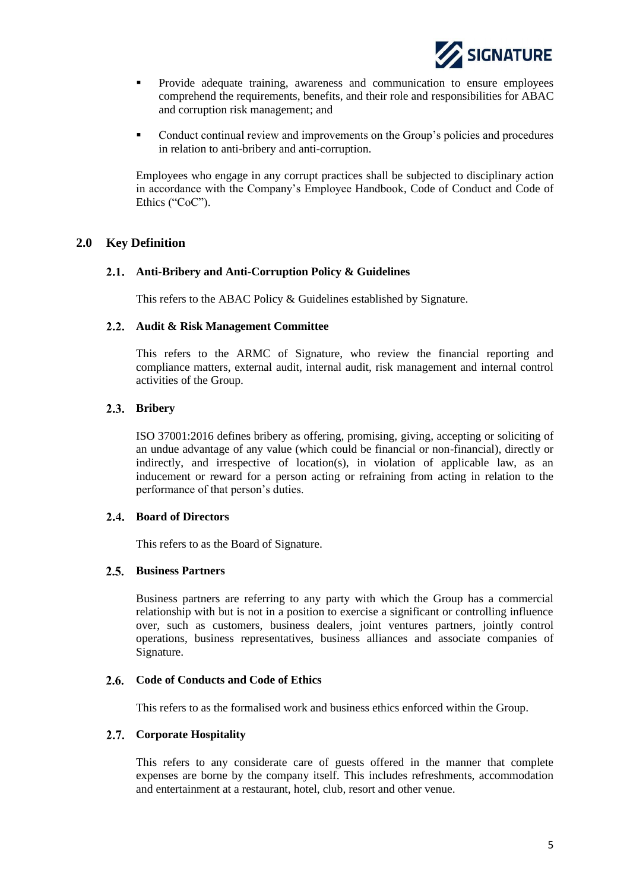

- Provide adequate training, awareness and communication to ensure employees comprehend the requirements, benefits, and their role and responsibilities for ABAC and corruption risk management; and
- Conduct continual review and improvements on the Group's policies and procedures in relation to anti-bribery and anti-corruption.

Employees who engage in any corrupt practices shall be subjected to disciplinary action in accordance with the Company's Employee Handbook, Code of Conduct and Code of Ethics ("CoC").

# <span id="page-5-1"></span><span id="page-5-0"></span>**2.0 Key Definition**

# **Anti-Bribery and Anti-Corruption Policy & Guidelines**

This refers to the ABAC Policy & Guidelines established by Signature.

#### <span id="page-5-2"></span>**Audit & Risk Management Committee**

This refers to the ARMC of Signature, who review the financial reporting and compliance matters, external audit, internal audit, risk management and internal control activities of the Group.

# <span id="page-5-3"></span>2.3. Bribery

ISO 37001:2016 defines bribery as offering, promising, giving, accepting or soliciting of an undue advantage of any value (which could be financial or non-financial), directly or indirectly, and irrespective of location(s), in violation of applicable law, as an inducement or reward for a person acting or refraining from acting in relation to the performance of that person's duties.

# <span id="page-5-4"></span>**Board of Directors**

This refers to as the Board of Signature.

# <span id="page-5-5"></span>2.5. Business Partners

Business partners are referring to any party with which the Group has a commercial relationship with but is not in a position to exercise a significant or controlling influence over, such as customers, business dealers, joint ventures partners, jointly control operations, business representatives, business alliances and associate companies of Signature.

# <span id="page-5-6"></span>**Code of Conducts and Code of Ethics**

This refers to as the formalised work and business ethics enforced within the Group.

# <span id="page-5-7"></span>**Corporate Hospitality**

This refers to any considerate care of guests offered in the manner that complete expenses are borne by the company itself. This includes refreshments, accommodation and entertainment at a restaurant, hotel, club, resort and other venue.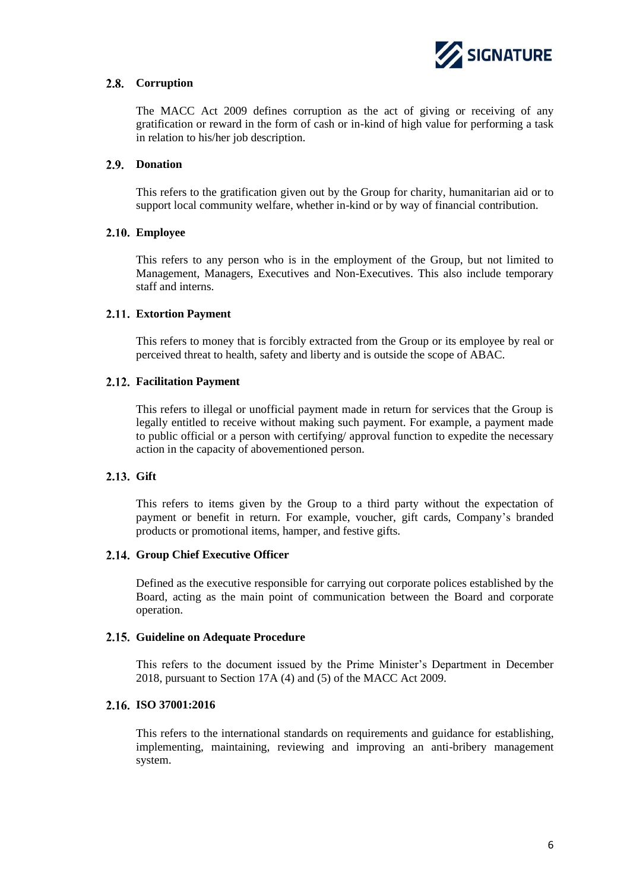

# <span id="page-6-0"></span>**Corruption**

The MACC Act 2009 defines corruption as the act of giving or receiving of any gratification or reward in the form of cash or in-kind of high value for performing a task in relation to his/her job description.

# <span id="page-6-1"></span>2.9. Donation

This refers to the gratification given out by the Group for charity, humanitarian aid or to support local community welfare, whether in-kind or by way of financial contribution.

# <span id="page-6-2"></span>**Employee**

This refers to any person who is in the employment of the Group, but not limited to Management, Managers, Executives and Non-Executives. This also include temporary staff and interns.

# <span id="page-6-3"></span>**Extortion Payment**

This refers to money that is forcibly extracted from the Group or its employee by real or perceived threat to health, safety and liberty and is outside the scope of ABAC.

# <span id="page-6-4"></span>**Facilitation Payment**

This refers to illegal or unofficial payment made in return for services that the Group is legally entitled to receive without making such payment. For example, a payment made to public official or a person with certifying/ approval function to expedite the necessary action in the capacity of abovementioned person.

# <span id="page-6-5"></span>2.13. Gift

This refers to items given by the Group to a third party without the expectation of payment or benefit in return. For example, voucher, gift cards, Company's branded products or promotional items, hamper, and festive gifts.

# <span id="page-6-6"></span>**Group Chief Executive Officer**

Defined as the executive responsible for carrying out corporate polices established by the Board, acting as the main point of communication between the Board and corporate operation.

# <span id="page-6-7"></span>**Guideline on Adequate Procedure**

This refers to the document issued by the Prime Minister's Department in December 2018, pursuant to Section 17A (4) and (5) of the MACC Act 2009.

# <span id="page-6-8"></span>**ISO 37001:2016**

This refers to the international standards on requirements and guidance for establishing, implementing, maintaining, reviewing and improving an anti-bribery management system.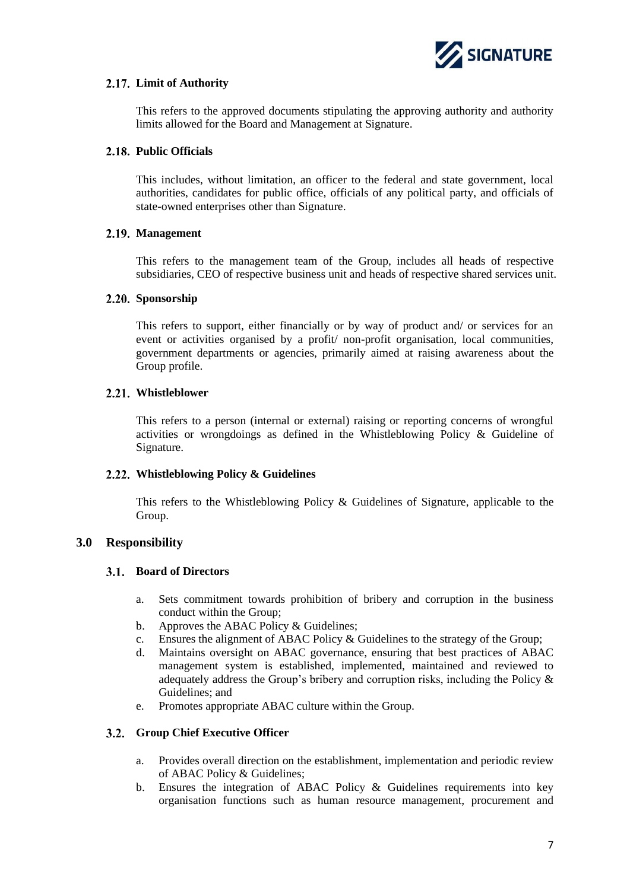

# <span id="page-7-0"></span>**Limit of Authority**

This refers to the approved documents stipulating the approving authority and authority limits allowed for the Board and Management at Signature.

# <span id="page-7-1"></span>**Public Officials**

This includes, without limitation, an officer to the federal and state government, local authorities, candidates for public office, officials of any political party, and officials of state-owned enterprises other than Signature.

# <span id="page-7-2"></span>**Management**

This refers to the management team of the Group, includes all heads of respective subsidiaries, CEO of respective business unit and heads of respective shared services unit.

# <span id="page-7-3"></span>2.20. Sponsorship

This refers to support, either financially or by way of product and/ or services for an event or activities organised by a profit/ non-profit organisation, local communities, government departments or agencies, primarily aimed at raising awareness about the Group profile.

# <span id="page-7-4"></span>**Whistleblower**

This refers to a person (internal or external) raising or reporting concerns of wrongful activities or wrongdoings as defined in the Whistleblowing Policy & Guideline of Signature.

# <span id="page-7-5"></span>**Whistleblowing Policy & Guidelines**

This refers to the Whistleblowing Policy & Guidelines of Signature, applicable to the Group.

# <span id="page-7-7"></span><span id="page-7-6"></span>**3.0 Responsibility**

# **Board of Directors**

- a. Sets commitment towards prohibition of bribery and corruption in the business conduct within the Group;
- b. Approves the ABAC Policy & Guidelines;
- c. Ensures the alignment of ABAC Policy & Guidelines to the strategy of the Group;
- d. Maintains oversight on ABAC governance, ensuring that best practices of ABAC management system is established, implemented, maintained and reviewed to adequately address the Group's bribery and corruption risks, including the Policy & Guidelines; and
- e. Promotes appropriate ABAC culture within the Group.

# <span id="page-7-8"></span>**Group Chief Executive Officer**

- a. Provides overall direction on the establishment, implementation and periodic review of ABAC Policy & Guidelines;
- b. Ensures the integration of ABAC Policy & Guidelines requirements into key organisation functions such as human resource management, procurement and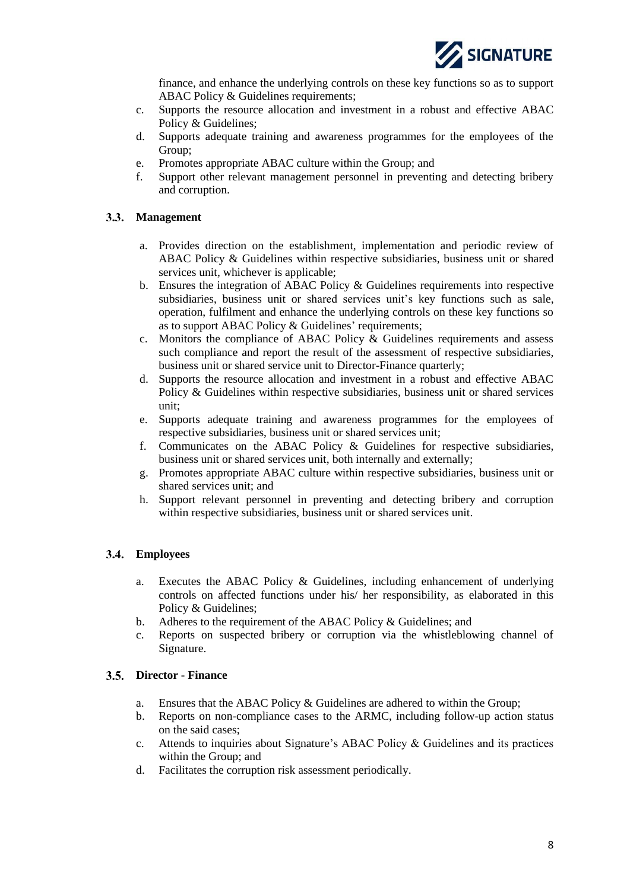

finance, and enhance the underlying controls on these key functions so as to support ABAC Policy & Guidelines requirements;

- c. Supports the resource allocation and investment in a robust and effective ABAC Policy & Guidelines;
- d. Supports adequate training and awareness programmes for the employees of the Group;
- e. Promotes appropriate ABAC culture within the Group; and
- f. Support other relevant management personnel in preventing and detecting bribery and corruption.

# <span id="page-8-0"></span>**Management**

- a. Provides direction on the establishment, implementation and periodic review of ABAC Policy & Guidelines within respective subsidiaries, business unit or shared services unit, whichever is applicable;
- b. Ensures the integration of ABAC Policy & Guidelines requirements into respective subsidiaries, business unit or shared services unit's key functions such as sale, operation, fulfilment and enhance the underlying controls on these key functions so as to support ABAC Policy & Guidelines' requirements;
- c. Monitors the compliance of ABAC Policy & Guidelines requirements and assess such compliance and report the result of the assessment of respective subsidiaries, business unit or shared service unit to Director-Finance quarterly;
- d. Supports the resource allocation and investment in a robust and effective ABAC Policy & Guidelines within respective subsidiaries, business unit or shared services unit;
- e. Supports adequate training and awareness programmes for the employees of respective subsidiaries, business unit or shared services unit;
- f. Communicates on the ABAC Policy & Guidelines for respective subsidiaries, business unit or shared services unit, both internally and externally;
- g. Promotes appropriate ABAC culture within respective subsidiaries, business unit or shared services unit; and
- h. Support relevant personnel in preventing and detecting bribery and corruption within respective subsidiaries, business unit or shared services unit.

# <span id="page-8-1"></span>**Employees**

- a. Executes the ABAC Policy & Guidelines, including enhancement of underlying controls on affected functions under his/ her responsibility, as elaborated in this Policy & Guidelines;
- b. Adheres to the requirement of the ABAC Policy & Guidelines; and
- c. Reports on suspected bribery or corruption via the whistleblowing channel of Signature.

# <span id="page-8-2"></span>**Director - Finance**

- a. Ensures that the ABAC Policy & Guidelines are adhered to within the Group;
- b. Reports on non-compliance cases to the ARMC, including follow-up action status on the said cases;
- c. Attends to inquiries about Signature's ABAC Policy & Guidelines and its practices within the Group; and
- d. Facilitates the corruption risk assessment periodically.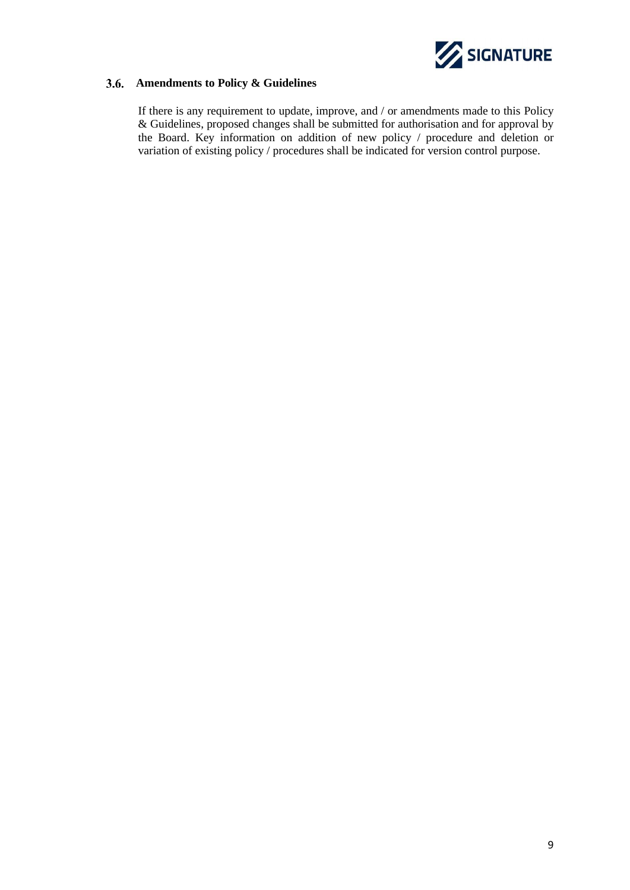

# <span id="page-9-0"></span>**Amendments to Policy & Guidelines**

If there is any requirement to update, improve, and / or amendments made to this Policy & Guidelines, proposed changes shall be submitted for authorisation and for approval by the Board. Key information on addition of new policy / procedure and deletion or variation of existing policy / procedures shall be indicated for version control purpose.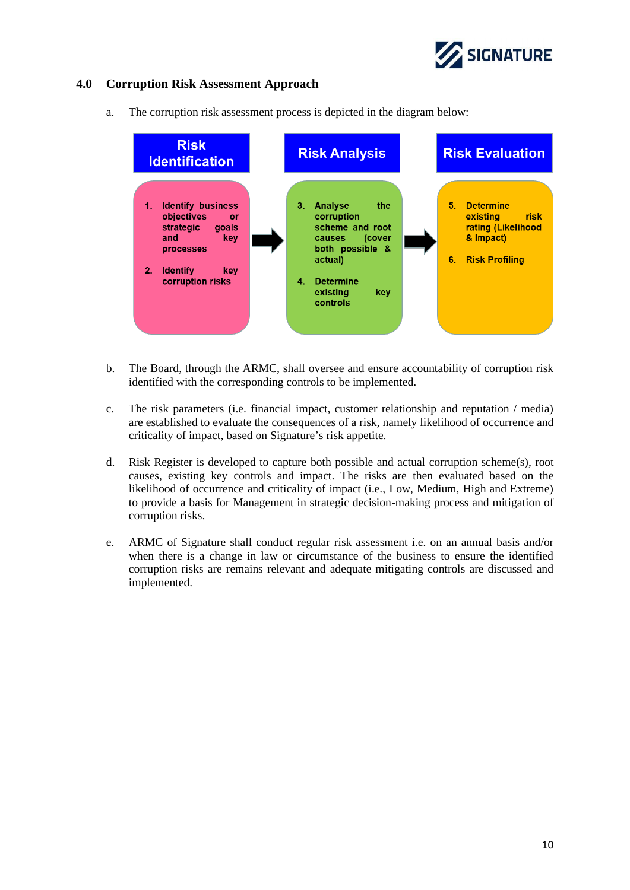

# <span id="page-10-0"></span>**4.0 Corruption Risk Assessment Approach**

a. The corruption risk assessment process is depicted in the diagram below:



- b. The Board, through the ARMC, shall oversee and ensure accountability of corruption risk identified with the corresponding controls to be implemented.
- c. The risk parameters (i.e. financial impact, customer relationship and reputation / media) are established to evaluate the consequences of a risk, namely likelihood of occurrence and criticality of impact, based on Signature's risk appetite.
- d. Risk Register is developed to capture both possible and actual corruption scheme(s), root causes, existing key controls and impact. The risks are then evaluated based on the likelihood of occurrence and criticality of impact (i.e., Low, Medium, High and Extreme) to provide a basis for Management in strategic decision-making process and mitigation of corruption risks.
- e. ARMC of Signature shall conduct regular risk assessment i.e. on an annual basis and/or when there is a change in law or circumstance of the business to ensure the identified corruption risks are remains relevant and adequate mitigating controls are discussed and implemented.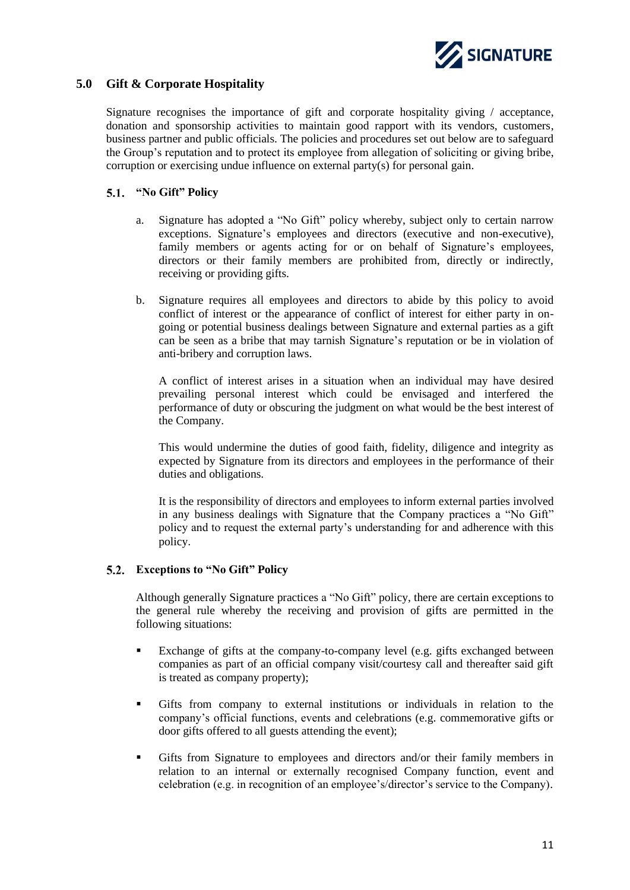

# <span id="page-11-0"></span>**5.0 Gift & Corporate Hospitality**

Signature recognises the importance of gift and corporate hospitality giving / acceptance, donation and sponsorship activities to maintain good rapport with its vendors, customers, business partner and public officials. The policies and procedures set out below are to safeguard the Group's reputation and to protect its employee from allegation of soliciting or giving bribe, corruption or exercising undue influence on external party(s) for personal gain.

# <span id="page-11-1"></span>**"No Gift" Policy**

- a. Signature has adopted a "No Gift" policy whereby, subject only to certain narrow exceptions. Signature's employees and directors (executive and non-executive), family members or agents acting for or on behalf of Signature's employees, directors or their family members are prohibited from, directly or indirectly, receiving or providing gifts.
- b. Signature requires all employees and directors to abide by this policy to avoid conflict of interest or the appearance of conflict of interest for either party in ongoing or potential business dealings between Signature and external parties as a gift can be seen as a bribe that may tarnish Signature's reputation or be in violation of anti-bribery and corruption laws.

A conflict of interest arises in a situation when an individual may have desired prevailing personal interest which could be envisaged and interfered the performance of duty or obscuring the judgment on what would be the best interest of the Company.

This would undermine the duties of good faith, fidelity, diligence and integrity as expected by Signature from its directors and employees in the performance of their duties and obligations.

It is the responsibility of directors and employees to inform external parties involved in any business dealings with Signature that the Company practices a "No Gift" policy and to request the external party's understanding for and adherence with this policy.

# <span id="page-11-2"></span>**Exceptions to "No Gift" Policy**

Although generally Signature practices a "No Gift" policy, there are certain exceptions to the general rule whereby the receiving and provision of gifts are permitted in the following situations:

- Exchange of gifts at the company-to-company level (e.g. gifts exchanged between companies as part of an official company visit/courtesy call and thereafter said gift is treated as company property);
- Gifts from company to external institutions or individuals in relation to the company's official functions, events and celebrations (e.g. commemorative gifts or door gifts offered to all guests attending the event);
- Gifts from Signature to employees and directors and/or their family members in relation to an internal or externally recognised Company function, event and celebration (e.g. in recognition of an employee's/director's service to the Company).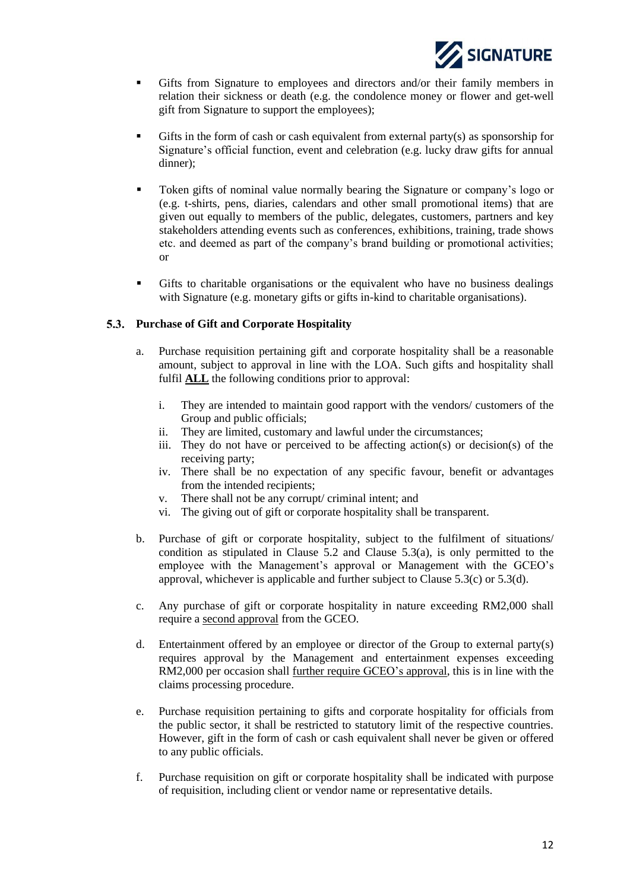

- Gifts from Signature to employees and directors and/or their family members in relation their sickness or death (e.g. the condolence money or flower and get-well gift from Signature to support the employees);
- Gifts in the form of cash or cash equivalent from external party(s) as sponsorship for Signature's official function, event and celebration (e.g. lucky draw gifts for annual dinner);
- Token gifts of nominal value normally bearing the Signature or company's logo or (e.g. t-shirts, pens, diaries, calendars and other small promotional items) that are given out equally to members of the public, delegates, customers, partners and key stakeholders attending events such as conferences, exhibitions, training, trade shows etc. and deemed as part of the company's brand building or promotional activities; or
- Gifts to charitable organisations or the equivalent who have no business dealings with Signature (e.g. monetary gifts or gifts in-kind to charitable organisations).

# <span id="page-12-0"></span>**Purchase of Gift and Corporate Hospitality**

- a. Purchase requisition pertaining gift and corporate hospitality shall be a reasonable amount, subject to approval in line with the LOA. Such gifts and hospitality shall fulfil **ALL** the following conditions prior to approval:
	- i. They are intended to maintain good rapport with the vendors/ customers of the Group and public officials;
	- ii. They are limited, customary and lawful under the circumstances;
	- iii. They do not have or perceived to be affecting action(s) or decision(s) of the receiving party;
	- iv. There shall be no expectation of any specific favour, benefit or advantages from the intended recipients;
	- v. There shall not be any corrupt/ criminal intent; and
	- vi. The giving out of gift or corporate hospitality shall be transparent.
- b. Purchase of gift or corporate hospitality, subject to the fulfilment of situations/ condition as stipulated in Clause 5.2 and Clause 5.3(a), is only permitted to the employee with the Management's approval or Management with the GCEO's approval, whichever is applicable and further subject to Clause  $5.3(c)$  or  $5.3(d)$ .
- c. Any purchase of gift or corporate hospitality in nature exceeding RM2,000 shall require a second approval from the GCEO.
- d. Entertainment offered by an employee or director of the Group to external party(s) requires approval by the Management and entertainment expenses exceeding RM2,000 per occasion shall further require GCEO's approval, this is in line with the claims processing procedure.
- e. Purchase requisition pertaining to gifts and corporate hospitality for officials from the public sector, it shall be restricted to statutory limit of the respective countries. However, gift in the form of cash or cash equivalent shall never be given or offered to any public officials.
- f. Purchase requisition on gift or corporate hospitality shall be indicated with purpose of requisition, including client or vendor name or representative details.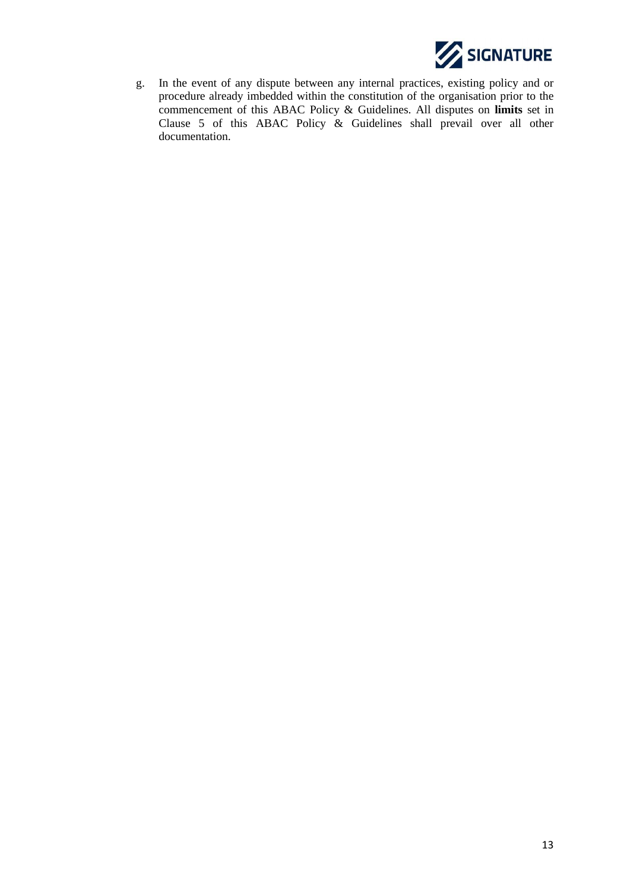

g. In the event of any dispute between any internal practices, existing policy and or procedure already imbedded within the constitution of the organisation prior to the commencement of this ABAC Policy & Guidelines. All disputes on **limits** set in Clause 5 of this ABAC Policy & Guidelines shall prevail over all other documentation.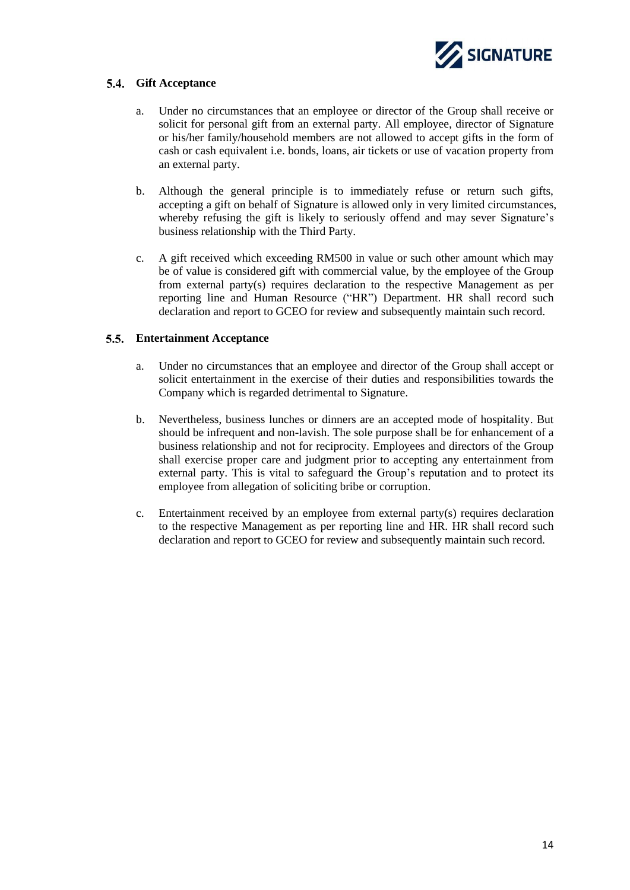

# <span id="page-14-0"></span>**Gift Acceptance**

- a. Under no circumstances that an employee or director of the Group shall receive or solicit for personal gift from an external party. All employee, director of Signature or his/her family/household members are not allowed to accept gifts in the form of cash or cash equivalent i.e. bonds, loans, air tickets or use of vacation property from an external party.
- b. Although the general principle is to immediately refuse or return such gifts, accepting a gift on behalf of Signature is allowed only in very limited circumstances, whereby refusing the gift is likely to seriously offend and may sever Signature's business relationship with the Third Party.
- c. A gift received which exceeding RM500 in value or such other amount which may be of value is considered gift with commercial value, by the employee of the Group from external party(s) requires declaration to the respective Management as per reporting line and Human Resource ("HR") Department. HR shall record such declaration and report to GCEO for review and subsequently maintain such record.

# <span id="page-14-1"></span>**Entertainment Acceptance**

- a. Under no circumstances that an employee and director of the Group shall accept or solicit entertainment in the exercise of their duties and responsibilities towards the Company which is regarded detrimental to Signature.
- b. Nevertheless, business lunches or dinners are an accepted mode of hospitality. But should be infrequent and non-lavish. The sole purpose shall be for enhancement of a business relationship and not for reciprocity. Employees and directors of the Group shall exercise proper care and judgment prior to accepting any entertainment from external party. This is vital to safeguard the Group's reputation and to protect its employee from allegation of soliciting bribe or corruption.
- c. Entertainment received by an employee from external party(s) requires declaration to the respective Management as per reporting line and HR. HR shall record such declaration and report to GCEO for review and subsequently maintain such record.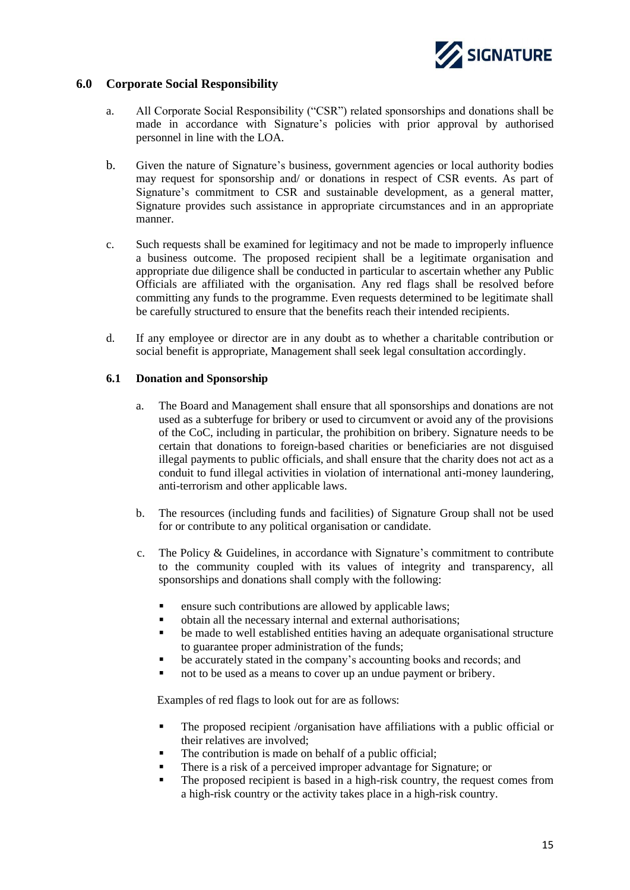

# <span id="page-15-0"></span>**6.0 Corporate Social Responsibility**

- a. All Corporate Social Responsibility ("CSR") related sponsorships and donations shall be made in accordance with Signature's policies with prior approval by authorised personnel in line with the LOA.
- b. Given the nature of Signature's business, government agencies or local authority bodies may request for sponsorship and/ or donations in respect of CSR events. As part of Signature's commitment to CSR and sustainable development, as a general matter, Signature provides such assistance in appropriate circumstances and in an appropriate manner.
- c. Such requests shall be examined for legitimacy and not be made to improperly influence a business outcome. The proposed recipient shall be a legitimate organisation and appropriate due diligence shall be conducted in particular to ascertain whether any Public Officials are affiliated with the organisation. Any red flags shall be resolved before committing any funds to the programme. Even requests determined to be legitimate shall be carefully structured to ensure that the benefits reach their intended recipients.
- d. If any employee or director are in any doubt as to whether a charitable contribution or social benefit is appropriate, Management shall seek legal consultation accordingly.

#### <span id="page-15-1"></span>**6.1 Donation and Sponsorship**

- a. The Board and Management shall ensure that all sponsorships and donations are not used as a subterfuge for bribery or used to circumvent or avoid any of the provisions of the CoC, including in particular, the prohibition on bribery. Signature needs to be certain that donations to foreign-based charities or beneficiaries are not disguised illegal payments to public officials, and shall ensure that the charity does not act as a conduit to fund illegal activities in violation of international anti-money laundering, anti-terrorism and other applicable laws.
- b. The resources (including funds and facilities) of Signature Group shall not be used for or contribute to any political organisation or candidate.
- c. The Policy & Guidelines, in accordance with Signature's commitment to contribute to the community coupled with its values of integrity and transparency, all sponsorships and donations shall comply with the following:
	- ensure such contributions are allowed by applicable laws;
	- obtain all the necessary internal and external authorisations;
	- be made to well established entities having an adequate organisational structure to guarantee proper administration of the funds;
	- be accurately stated in the company's accounting books and records; and
	- not to be used as a means to cover up an undue payment or bribery.

Examples of red flags to look out for are as follows:

- The proposed recipient /organisation have affiliations with a public official or their relatives are involved;
- The contribution is made on behalf of a public official;
- There is a risk of a perceived improper advantage for Signature; or
- The proposed recipient is based in a high-risk country, the request comes from a high-risk country or the activity takes place in a high-risk country.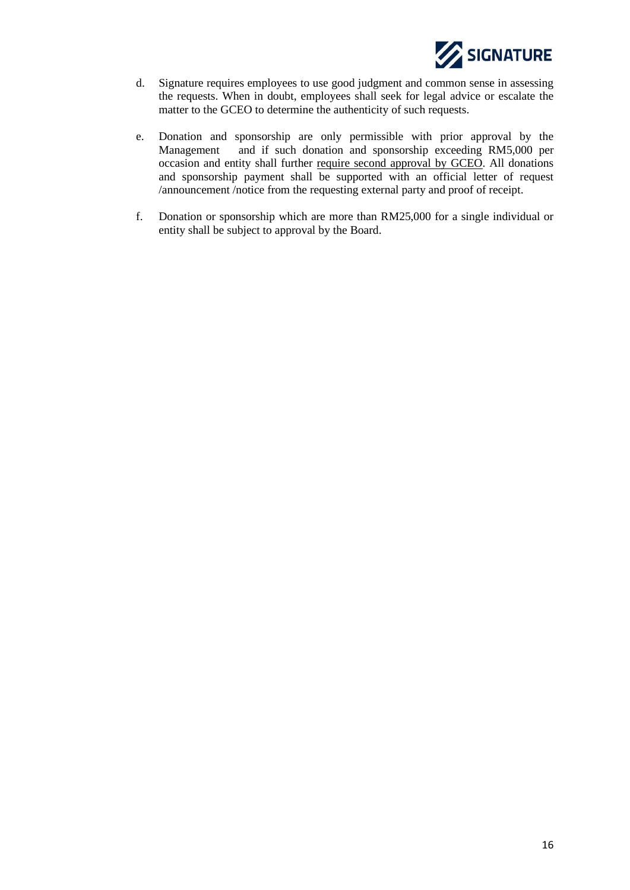

- d. Signature requires employees to use good judgment and common sense in assessing the requests. When in doubt, employees shall seek for legal advice or escalate the matter to the GCEO to determine the authenticity of such requests.
- e. Donation and sponsorship are only permissible with prior approval by the Management and if such donation and sponsorship exceeding RM5,000 per occasion and entity shall further require second approval by GCEO. All donations and sponsorship payment shall be supported with an official letter of request /announcement /notice from the requesting external party and proof of receipt.
- f. Donation or sponsorship which are more than RM25,000 for a single individual or entity shall be subject to approval by the Board.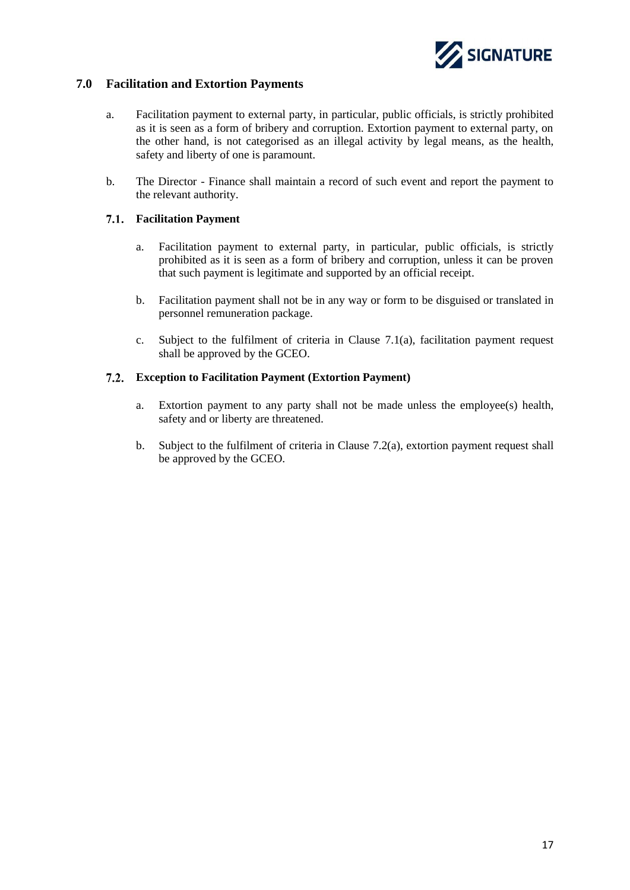

# <span id="page-17-0"></span>**7.0 Facilitation and Extortion Payments**

- a. Facilitation payment to external party, in particular, public officials, is strictly prohibited as it is seen as a form of bribery and corruption. Extortion payment to external party, on the other hand, is not categorised as an illegal activity by legal means, as the health, safety and liberty of one is paramount.
- b. The Director Finance shall maintain a record of such event and report the payment to the relevant authority.

# <span id="page-17-1"></span>**Facilitation Payment**

- a. Facilitation payment to external party, in particular, public officials, is strictly prohibited as it is seen as a form of bribery and corruption, unless it can be proven that such payment is legitimate and supported by an official receipt.
- b. Facilitation payment shall not be in any way or form to be disguised or translated in personnel remuneration package.
- c. Subject to the fulfilment of criteria in Clause 7.1(a), facilitation payment request shall be approved by the GCEO.

# <span id="page-17-2"></span>**Exception to Facilitation Payment (Extortion Payment)**

- a. Extortion payment to any party shall not be made unless the employee(s) health, safety and or liberty are threatened.
- b. Subject to the fulfilment of criteria in Clause 7.2(a), extortion payment request shall be approved by the GCEO.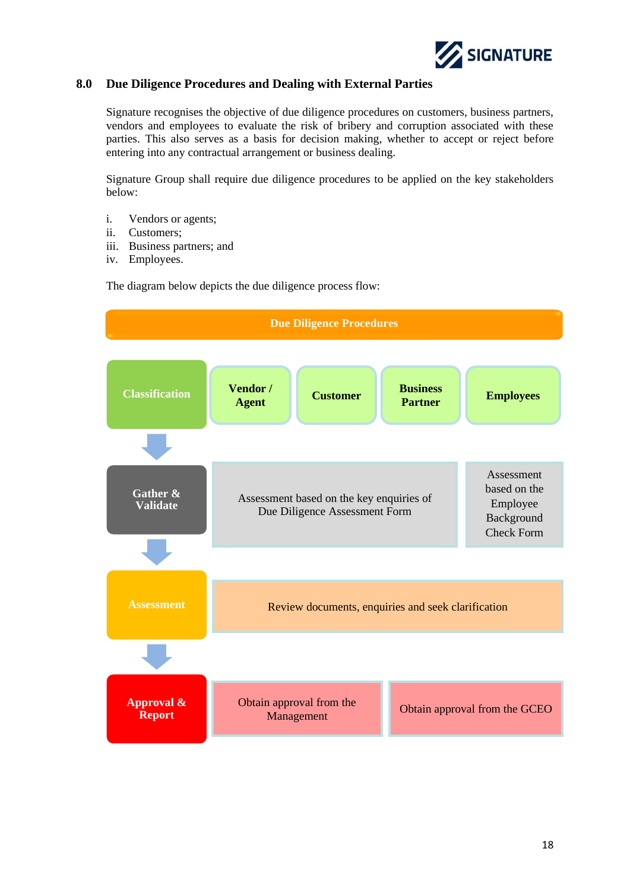

# <span id="page-18-0"></span>**8.0 Due Diligence Procedures and Dealing with External Parties**

Signature recognises the objective of due diligence procedures on customers, business partners, vendors and employees to evaluate the risk of bribery and corruption associated with these parties. This also serves as a basis for decision making, whether to accept or reject before entering into any contractual arrangement or business dealing.

Signature Group shall require due diligence procedures to be applied on the key stakeholders below:

- i. Vendors or agents;
- ii. Customers;
- iii. Business partners; and
- iv. Employees.

The diagram below depicts the due diligence process flow:

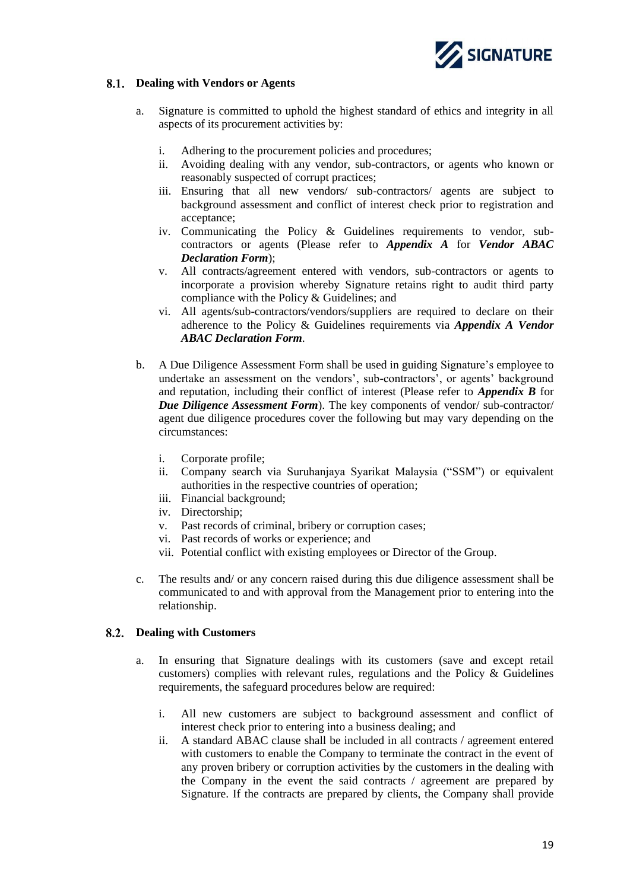

# <span id="page-19-0"></span>**Dealing with Vendors or Agents**

- a. Signature is committed to uphold the highest standard of ethics and integrity in all aspects of its procurement activities by:
	- i. Adhering to the procurement policies and procedures;
	- ii. Avoiding dealing with any vendor, sub-contractors, or agents who known or reasonably suspected of corrupt practices;
	- iii. Ensuring that all new vendors/ sub-contractors/ agents are subject to background assessment and conflict of interest check prior to registration and acceptance;
	- iv. Communicating the Policy & Guidelines requirements to vendor, subcontractors or agents (Please refer to *Appendix A* for *Vendor ABAC Declaration Form*);
	- v. All contracts/agreement entered with vendors, sub-contractors or agents to incorporate a provision whereby Signature retains right to audit third party compliance with the Policy & Guidelines; and
	- vi. All agents/sub-contractors/vendors/suppliers are required to declare on their adherence to the Policy & Guidelines requirements via *Appendix A Vendor ABAC Declaration Form*.
- b. A Due Diligence Assessment Form shall be used in guiding Signature's employee to undertake an assessment on the vendors', sub-contractors', or agents' background and reputation, including their conflict of interest (Please refer to *Appendix B* for *Due Diligence Assessment Form*). The key components of vendor/ sub-contractor/ agent due diligence procedures cover the following but may vary depending on the circumstances:
	- i. Corporate profile;
	- ii. Company search via Suruhanjaya Syarikat Malaysia ("SSM") or equivalent authorities in the respective countries of operation;
	- iii. Financial background;
	- iv. Directorship;
	- v. Past records of criminal, bribery or corruption cases;
	- vi. Past records of works or experience; and
	- vii. Potential conflict with existing employees or Director of the Group.
- c. The results and/ or any concern raised during this due diligence assessment shall be communicated to and with approval from the Management prior to entering into the relationship.

# <span id="page-19-1"></span>**Dealing with Customers**

- a. In ensuring that Signature dealings with its customers (save and except retail customers) complies with relevant rules, regulations and the Policy & Guidelines requirements, the safeguard procedures below are required:
	- i. All new customers are subject to background assessment and conflict of interest check prior to entering into a business dealing; and
	- ii. A standard ABAC clause shall be included in all contracts / agreement entered with customers to enable the Company to terminate the contract in the event of any proven bribery or corruption activities by the customers in the dealing with the Company in the event the said contracts / agreement are prepared by Signature. If the contracts are prepared by clients, the Company shall provide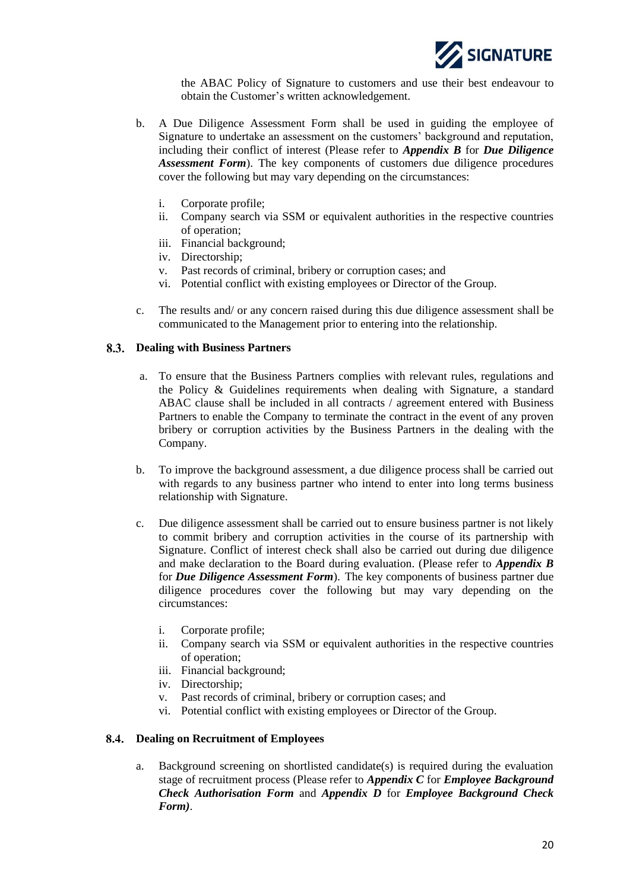

the ABAC Policy of Signature to customers and use their best endeavour to obtain the Customer's written acknowledgement.

- b. A Due Diligence Assessment Form shall be used in guiding the employee of Signature to undertake an assessment on the customers' background and reputation, including their conflict of interest (Please refer to *Appendix B* for *Due Diligence Assessment Form*). The key components of customers due diligence procedures cover the following but may vary depending on the circumstances:
	- i. Corporate profile;
	- ii. Company search via SSM or equivalent authorities in the respective countries of operation;
	- iii. Financial background;
	- iv. Directorship;
	- v. Past records of criminal, bribery or corruption cases; and
	- vi. Potential conflict with existing employees or Director of the Group.
- c. The results and/ or any concern raised during this due diligence assessment shall be communicated to the Management prior to entering into the relationship.

# <span id="page-20-0"></span>**Dealing with Business Partners**

- a. To ensure that the Business Partners complies with relevant rules, regulations and the Policy & Guidelines requirements when dealing with Signature, a standard ABAC clause shall be included in all contracts / agreement entered with Business Partners to enable the Company to terminate the contract in the event of any proven bribery or corruption activities by the Business Partners in the dealing with the Company.
- b. To improve the background assessment, a due diligence process shall be carried out with regards to any business partner who intend to enter into long terms business relationship with Signature.
- c. Due diligence assessment shall be carried out to ensure business partner is not likely to commit bribery and corruption activities in the course of its partnership with Signature. Conflict of interest check shall also be carried out during due diligence and make declaration to the Board during evaluation. (Please refer to *Appendix B* for *Due Diligence Assessment Form*). The key components of business partner due diligence procedures cover the following but may vary depending on the circumstances:
	- i. Corporate profile;
	- ii. Company search via SSM or equivalent authorities in the respective countries of operation;
	- iii. Financial background;
	- iv. Directorship;
	- v. Past records of criminal, bribery or corruption cases; and
	- vi. Potential conflict with existing employees or Director of the Group.

# <span id="page-20-1"></span>**Dealing on Recruitment of Employees**

a. Background screening on shortlisted candidate(s) is required during the evaluation stage of recruitment process (Please refer to *Appendix C* for *Employee Background Check Authorisation Form* and *Appendix D* for *Employee Background Check Form)*.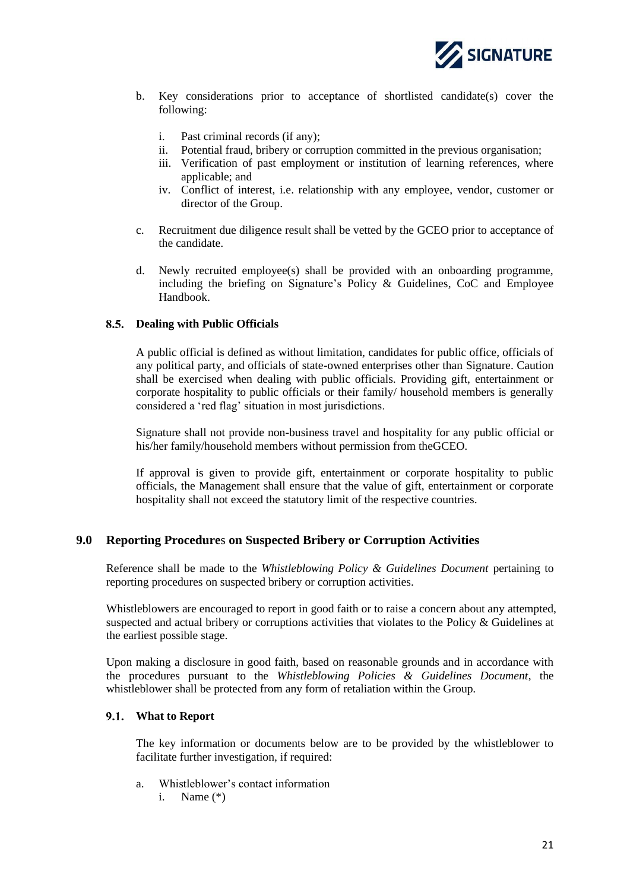

- b. Key considerations prior to acceptance of shortlisted candidate(s) cover the following:
	- i. Past criminal records (if any);
	- ii. Potential fraud, bribery or corruption committed in the previous organisation;
	- iii. Verification of past employment or institution of learning references, where applicable; and
	- iv. Conflict of interest, i.e. relationship with any employee, vendor, customer or director of the Group.
- c. Recruitment due diligence result shall be vetted by the GCEO prior to acceptance of the candidate.
- d. Newly recruited employee(s) shall be provided with an onboarding programme, including the briefing on Signature's Policy & Guidelines, CoC and Employee Handbook.

# <span id="page-21-0"></span>**Dealing with Public Officials**

A public official is defined as without limitation, candidates for public office, officials of any political party, and officials of state-owned enterprises other than Signature. Caution shall be exercised when dealing with public officials. Providing gift, entertainment or corporate hospitality to public officials or their family/ household members is generally considered a 'red flag' situation in most jurisdictions.

Signature shall not provide non-business travel and hospitality for any public official or his/her family/household members without permission from theGCEO.

If approval is given to provide gift, entertainment or corporate hospitality to public officials, the Management shall ensure that the value of gift, entertainment or corporate hospitality shall not exceed the statutory limit of the respective countries.

# <span id="page-21-1"></span>**9.0 Reporting Procedure**s **on Suspected Bribery or Corruption Activities**

Reference shall be made to the *Whistleblowing Policy & Guidelines Document* pertaining to reporting procedures on suspected bribery or corruption activities.

Whistleblowers are encouraged to report in good faith or to raise a concern about any attempted, suspected and actual bribery or corruptions activities that violates to the Policy & Guidelines at the earliest possible stage.

Upon making a disclosure in good faith, based on reasonable grounds and in accordance with the procedures pursuant to the *Whistleblowing Policies & Guidelines Document*, the whistleblower shall be protected from any form of retaliation within the Group.

# <span id="page-21-2"></span>**What to Report**

The key information or documents below are to be provided by the whistleblower to facilitate further investigation, if required:

- a. Whistleblower's contact information
	- i. Name (\*)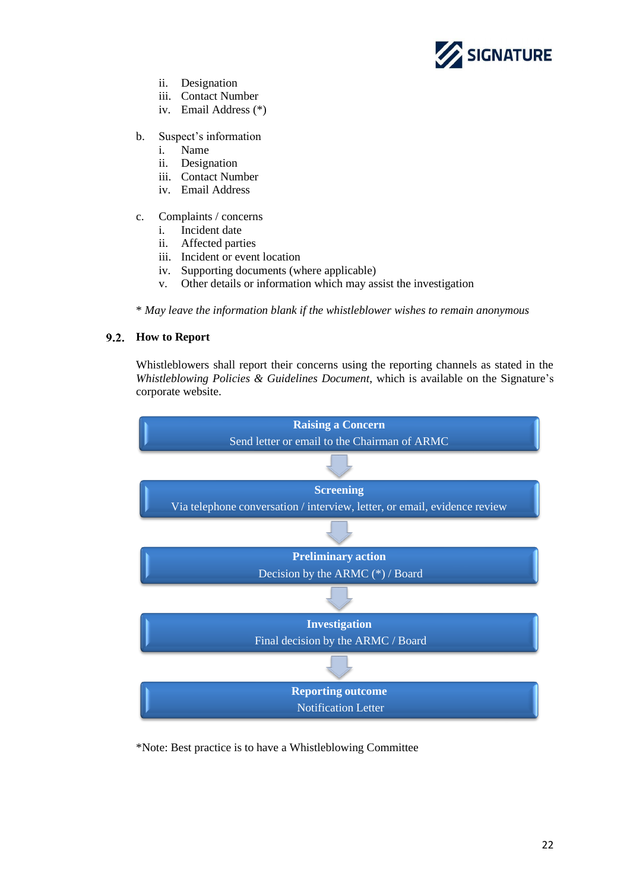

- ii. Designation
- iii. Contact Number
- iv. Email Address (\*)

# b. Suspect's information

- i. Name
- ii. Designation
- iii. Contact Number
- iv. Email Address
- c. Complaints / concerns
	- i. Incident date
	- ii. Affected parties
	- iii. Incident or event location
	- iv. Supporting documents (where applicable)
	- v. Other details or information which may assist the investigation

\* *May leave the information blank if the whistleblower wishes to remain anonymous*

# <span id="page-22-0"></span>**How to Report**

Whistleblowers shall report their concerns using the reporting channels as stated in the *Whistleblowing Policies & Guidelines Document*, which is available on the Signature's corporate website.



\*Note: Best practice is to have a Whistleblowing Committee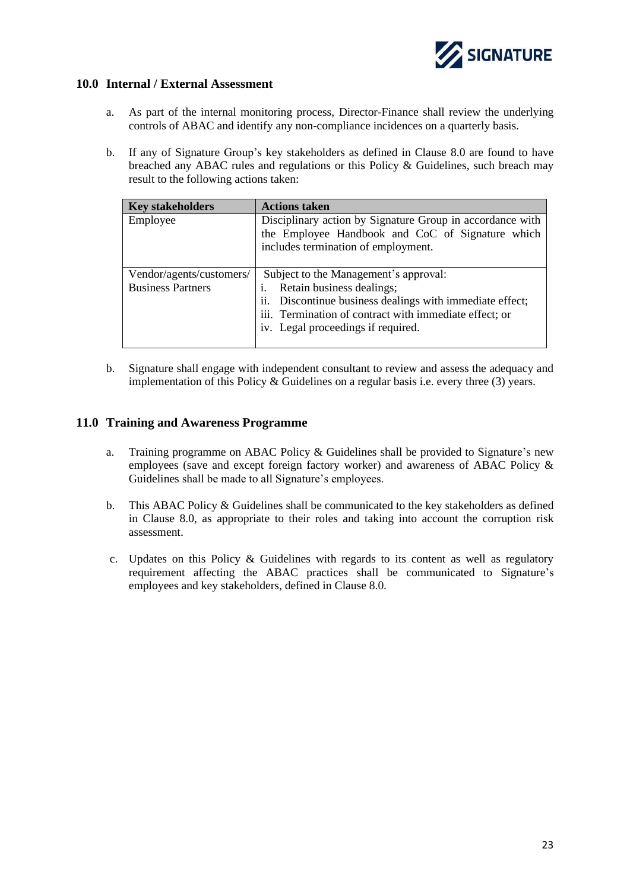

# <span id="page-23-0"></span>**10.0 Internal / External Assessment**

- a. As part of the internal monitoring process, Director-Finance shall review the underlying controls of ABAC and identify any non-compliance incidences on a quarterly basis.
- b. If any of Signature Group's key stakeholders as defined in Clause 8.0 are found to have breached any ABAC rules and regulations or this Policy & Guidelines, such breach may result to the following actions taken:

| <b>Key stakeholders</b>  | <b>Actions taken</b>                                      |  |  |
|--------------------------|-----------------------------------------------------------|--|--|
| Employee                 | Disciplinary action by Signature Group in accordance with |  |  |
|                          | the Employee Handbook and CoC of Signature which          |  |  |
|                          | includes termination of employment.                       |  |  |
|                          |                                                           |  |  |
| Vendor/agents/customers/ | Subject to the Management's approval:                     |  |  |
| <b>Business Partners</b> | Retain business dealings;<br>i.                           |  |  |
|                          | ii. Discontinue business dealings with immediate effect;  |  |  |
|                          | iii. Termination of contract with immediate effect; or    |  |  |
|                          | iv. Legal proceedings if required.                        |  |  |
|                          |                                                           |  |  |

b. Signature shall engage with independent consultant to review and assess the adequacy and implementation of this Policy & Guidelines on a regular basis i.e. every three (3) years.

# <span id="page-23-1"></span>**11.0 Training and Awareness Programme**

- a. Training programme on ABAC Policy & Guidelines shall be provided to Signature's new employees (save and except foreign factory worker) and awareness of ABAC Policy & Guidelines shall be made to all Signature's employees.
- b. This ABAC Policy & Guidelines shall be communicated to the key stakeholders as defined in Clause 8.0, as appropriate to their roles and taking into account the corruption risk assessment.
- c. Updates on this Policy & Guidelines with regards to its content as well as regulatory requirement affecting the ABAC practices shall be communicated to Signature's employees and key stakeholders, defined in Clause 8.0.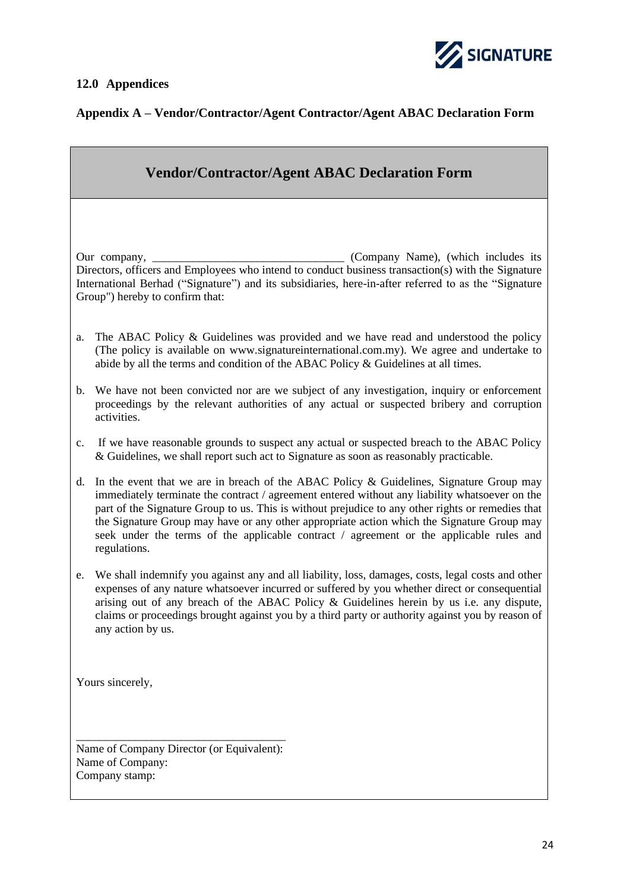<span id="page-24-0"></span>



# **Appendix A – Vendor/Contractor/Agent Contractor/Agent ABAC Declaration Form**

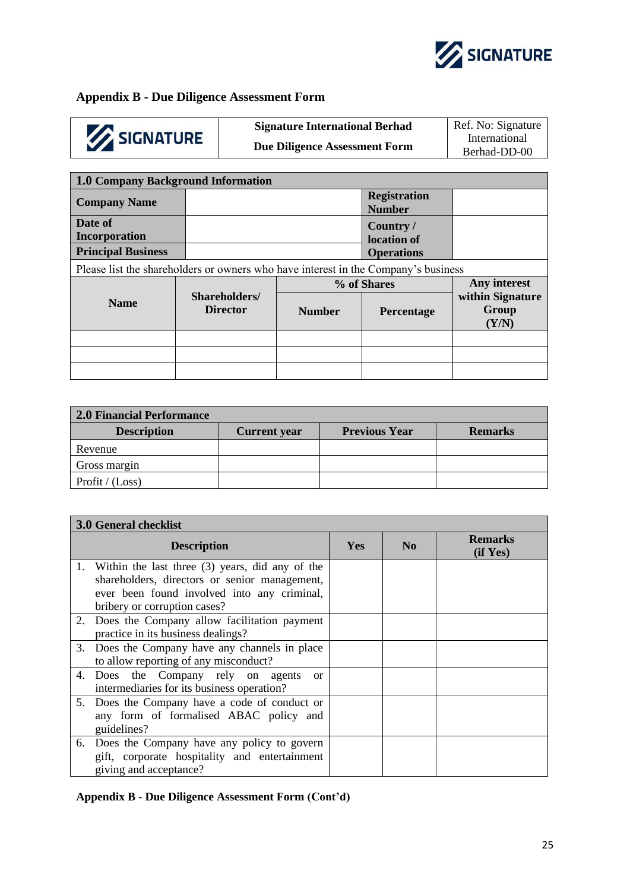

# **Appendix B - Due Diligence Assessment Form**

# SIGNATURE

**Due Diligence Assessment Form** 

**Signature International Berhad** Ref. No: Signature International<br>Berhad-DD-00

| 1.0 Company Background Information                                                 |                                  |               |                                      |                                    |  |  |
|------------------------------------------------------------------------------------|----------------------------------|---------------|--------------------------------------|------------------------------------|--|--|
| <b>Company Name</b>                                                                |                                  |               | <b>Registration</b><br><b>Number</b> |                                    |  |  |
| Date of<br>Incorporation                                                           |                                  |               | Country/<br>location of              |                                    |  |  |
| <b>Principal Business</b>                                                          |                                  |               | <b>Operations</b>                    |                                    |  |  |
| Please list the shareholders or owners who have interest in the Company's business |                                  |               |                                      |                                    |  |  |
|                                                                                    |                                  |               |                                      |                                    |  |  |
|                                                                                    |                                  |               | % of Shares                          | Any interest                       |  |  |
| <b>Name</b>                                                                        | Shareholders/<br><b>Director</b> | <b>Number</b> | <b>Percentage</b>                    | within Signature<br>Group<br>(Y/N) |  |  |
|                                                                                    |                                  |               |                                      |                                    |  |  |
|                                                                                    |                                  |               |                                      |                                    |  |  |

| <b>2.0 Financial Performance</b> |                     |                      |                |  |  |  |
|----------------------------------|---------------------|----------------------|----------------|--|--|--|
| <b>Description</b>               | <b>Current</b> year | <b>Previous Year</b> | <b>Remarks</b> |  |  |  |
| Revenue                          |                     |                      |                |  |  |  |
| Gross margin                     |                     |                      |                |  |  |  |
| Profit / $(Loss)$                |                     |                      |                |  |  |  |

|    | 3.0 General checklist                                                                                                                                                              |            |                |                            |  |  |  |
|----|------------------------------------------------------------------------------------------------------------------------------------------------------------------------------------|------------|----------------|----------------------------|--|--|--|
|    | <b>Description</b>                                                                                                                                                                 | <b>Yes</b> | N <sub>0</sub> | <b>Remarks</b><br>(if Yes) |  |  |  |
|    | 1. Within the last three (3) years, did any of the<br>shareholders, directors or senior management,<br>ever been found involved into any criminal,<br>bribery or corruption cases? |            |                |                            |  |  |  |
|    | 2. Does the Company allow facilitation payment<br>practice in its business dealings?                                                                                               |            |                |                            |  |  |  |
| 3. | Does the Company have any channels in place<br>to allow reporting of any misconduct?                                                                                               |            |                |                            |  |  |  |
|    | 4. Does the Company rely on agents<br><sub>or</sub><br>intermediaries for its business operation?                                                                                  |            |                |                            |  |  |  |
|    | 5. Does the Company have a code of conduct or<br>any form of formalised ABAC policy and<br>guidelines?                                                                             |            |                |                            |  |  |  |
|    | 6. Does the Company have any policy to govern<br>gift, corporate hospitality and entertainment<br>giving and acceptance?                                                           |            |                |                            |  |  |  |

# **Appendix B - Due Diligence Assessment Form (Cont'd)**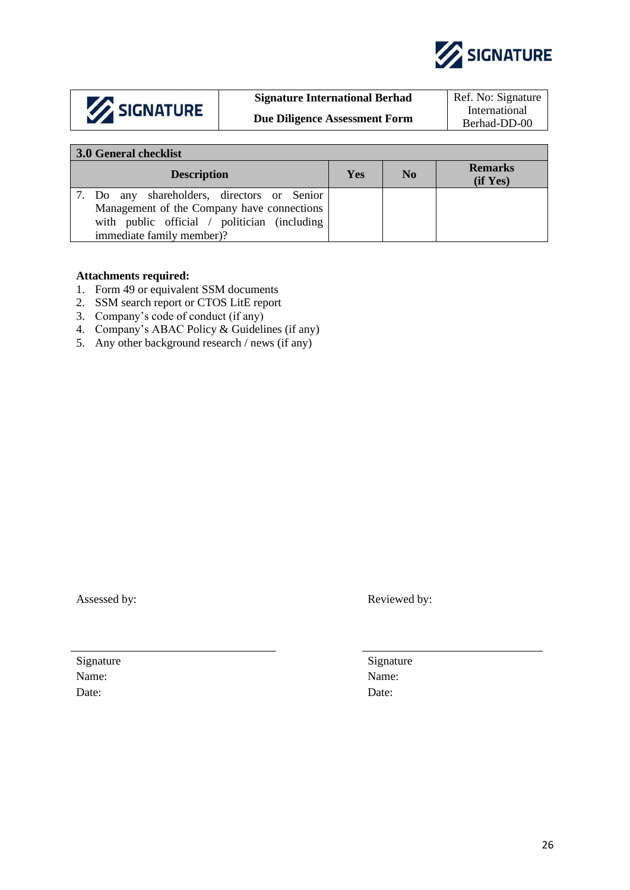

|  | SIGNATURE |
|--|-----------|
|--|-----------|

# **Signature International Berhad** Ref. No: Signature

**Due Diligence Assessment Form** 

International<br>Berhad-DD-00

| 3.0 General checklist                                                                                                                                                  |            |                |                             |  |  |  |  |
|------------------------------------------------------------------------------------------------------------------------------------------------------------------------|------------|----------------|-----------------------------|--|--|--|--|
| <b>Description</b>                                                                                                                                                     | <b>Yes</b> | N <sub>0</sub> | <b>Remarks</b><br>(i f Yes) |  |  |  |  |
| 7. Do any shareholders, directors or Senior<br>Management of the Company have connections<br>with public official / politician (including<br>immediate family member)? |            |                |                             |  |  |  |  |

# **Attachments required:**

- 1. Form 49 or equivalent SSM documents
- 2. SSM search report or CTOS LitE report
- 3. Company's code of conduct (if any)
- 4. Company's ABAC Policy & Guidelines (if any)
- 5. Any other background research / news (if any)

Assessed by: Reviewed by:

Signature Signature Signature Signature Signature Signature Signature Signature Signature Signature Signature Signature Signature Signature Signature Signature Signature Signature Signature Signature Signature Signature Si Name: Name: Date: Date: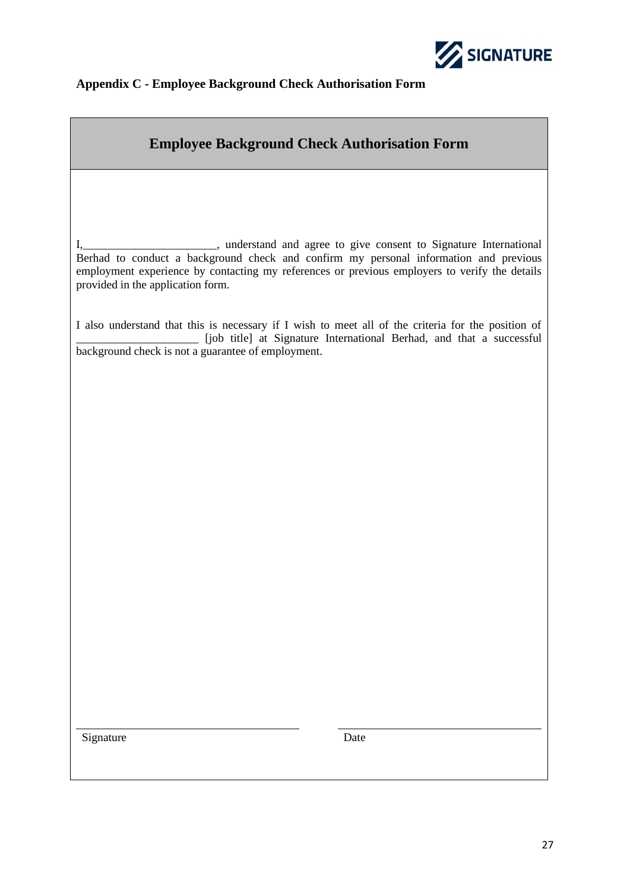

# **Appendix C - Employee Background Check Authorisation Form**

# **Employee Background Check Authorisation Form**

I,\_\_\_\_\_\_\_\_\_\_\_\_\_\_\_\_\_\_\_\_\_\_\_, understand and agree to give consent to Signature International Berhad to conduct a background check and confirm my personal information and previous employment experience by contacting my references or previous employers to verify the details provided in the application form.

I also understand that this is necessary if I wish to meet all of the criteria for the position of \_\_\_\_\_\_\_\_\_\_\_\_\_\_\_\_\_\_\_\_\_ [job title] at Signature International Berhad, and that a successful background check is not a guarantee of employment.

Signature Date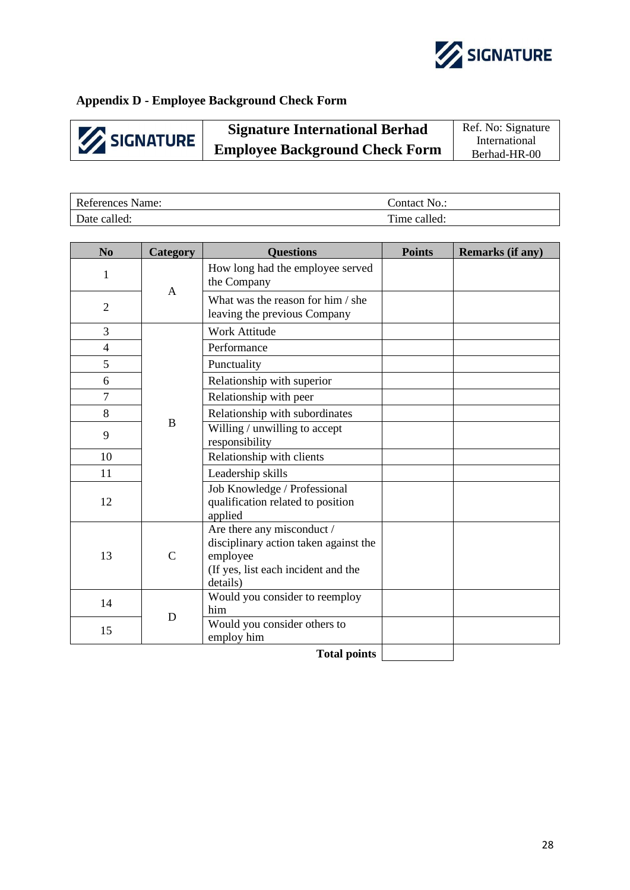

# **Appendix D - Employee Background Check Form**

**Signature International Berhad** Ref. No: Signature SIGNATURE **Employee Background Check Form** Berhad-HR-00

| References Name: | Contact No.: |
|------------------|--------------|
| Date called:     | Time called: |

| N <sub>0</sub> | Category     | <b>Ouestions</b>                                                                                                                   | <b>Points</b> | <b>Remarks (if any)</b> |
|----------------|--------------|------------------------------------------------------------------------------------------------------------------------------------|---------------|-------------------------|
| $\mathbf{1}$   | $\mathbf{A}$ | How long had the employee served<br>the Company                                                                                    |               |                         |
| $\overline{2}$ |              | What was the reason for him / she<br>leaving the previous Company                                                                  |               |                         |
| 3              |              | <b>Work Attitude</b>                                                                                                               |               |                         |
| $\overline{4}$ |              | Performance                                                                                                                        |               |                         |
| 5              |              | Punctuality                                                                                                                        |               |                         |
| 6              |              | Relationship with superior                                                                                                         |               |                         |
| $\overline{7}$ |              | Relationship with peer                                                                                                             |               |                         |
| 8              |              | Relationship with subordinates                                                                                                     |               |                         |
| 9              | B            | Willing / unwilling to accept<br>responsibility                                                                                    |               |                         |
| 10             |              | Relationship with clients                                                                                                          |               |                         |
| 11             |              | Leadership skills                                                                                                                  |               |                         |
| 12             |              | Job Knowledge / Professional<br>qualification related to position<br>applied                                                       |               |                         |
| 13             | $\mathbf C$  | Are there any misconduct /<br>disciplinary action taken against the<br>employee<br>(If yes, list each incident and the<br>details) |               |                         |
| 14             | D            | Would you consider to reemploy<br>him                                                                                              |               |                         |
| 15             |              | Would you consider others to<br>employ him                                                                                         |               |                         |
|                |              | <b>m</b> 11 . 1                                                                                                                    |               |                         |

**Total points**